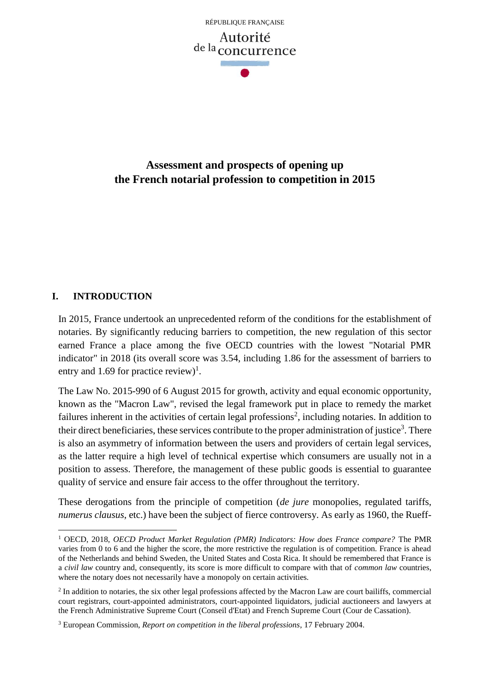

# **Assessment and prospects of opening up the French notarial profession to competition in 2015**

# **I. INTRODUCTION**

In 2015, France undertook an unprecedented reform of the conditions for the establishment of notaries. By significantly reducing barriers to competition, the new regulation of this sector earned France a place among the five OECD countries with the lowest "Notarial PMR indicator" in 2018 (its overall score was 3.54, including 1.86 for the assessment of barriers to entry and 1.69 for practice review)<sup>1</sup>.

The Law No. 2015-990 of 6 August 2015 for growth, activity and equal economic opportunity, known as the "Macron Law", revised the legal framework put in place to remedy the market failures inherent in the activities of certain legal professions<sup>2</sup>, including notaries. In addition to their direct beneficiaries, these services contribute to the proper administration of justice<sup>3</sup>. There is also an asymmetry of information between the users and providers of certain legal services, as the latter require a high level of technical expertise which consumers are usually not in a position to assess. Therefore, the management of these public goods is essential to guarantee quality of service and ensure fair access to the offer throughout the territory.

These derogations from the principle of competition (*de jure* monopolies, regulated tariffs, *numerus clausus*, etc.) have been the subject of fierce controversy. As early as 1960, the Rueff-

 $\overline{a}$ <sup>1</sup> OECD, 2018, *OECD Product Market Regulation (PMR) Indicators: How does France compare?* The PMR varies from 0 to 6 and the higher the score, the more restrictive the regulation is of competition. France is ahead of the Netherlands and behind Sweden, the United States and Costa Rica. It should be remembered that France is a *civil law* country and, consequently, its score is more difficult to compare with that of *common law* countries, where the notary does not necessarily have a monopoly on certain activities.

<sup>&</sup>lt;sup>2</sup> In addition to notaries, the six other legal professions affected by the Macron Law are court bailiffs, commercial court registrars, court-appointed administrators, court-appointed liquidators, judicial auctioneers and lawyers at the French Administrative Supreme Court (Conseil d'Etat) and French Supreme Court (Cour de Cassation).

<sup>3</sup> European Commission, *Report on competition in the liberal professions*, 17 February 2004.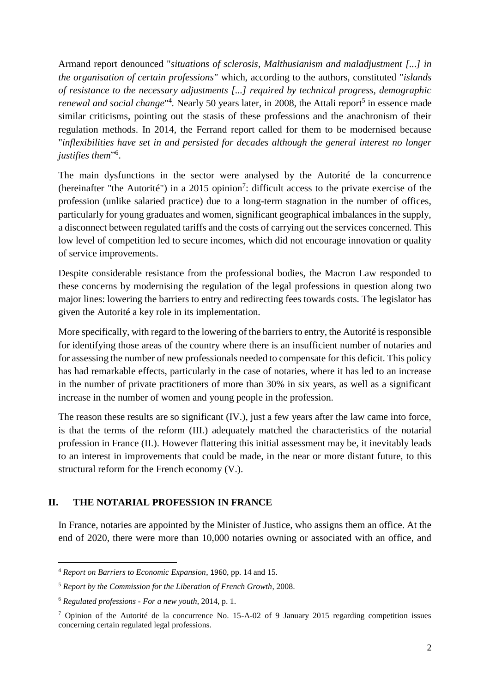Armand report denounced "*situations of sclerosis, Malthusianism and maladjustment [...] in the organisation of certain professions"* which, according to the authors, constituted "*islands of resistance to the necessary adjustments [...] required by technical progress, demographic renewal and social change*<sup>14</sup>. Nearly 50 years later, in 2008, the Attali report<sup>5</sup> in essence made similar criticisms, pointing out the stasis of these professions and the anachronism of their regulation methods. In 2014, the Ferrand report called for them to be modernised because "*inflexibilities have set in and persisted for decades although the general interest no longer*  justifies them<sup>"6</sup>.

The main dysfunctions in the sector were analysed by the Autorité de la concurrence (hereinafter "the Autorité") in a 2015 opinion<sup>7</sup>: difficult access to the private exercise of the profession (unlike salaried practice) due to a long-term stagnation in the number of offices, particularly for young graduates and women, significant geographical imbalances in the supply, a disconnect between regulated tariffs and the costs of carrying out the services concerned. This low level of competition led to secure incomes, which did not encourage innovation or quality of service improvements.

Despite considerable resistance from the professional bodies, the Macron Law responded to these concerns by modernising the regulation of the legal professions in question along two major lines: lowering the barriers to entry and redirecting fees towards costs. The legislator has given the Autorité a key role in its implementation.

More specifically, with regard to the lowering of the barriers to entry, the Autorité is responsible for identifying those areas of the country where there is an insufficient number of notaries and for assessing the number of new professionals needed to compensate for this deficit. This policy has had remarkable effects, particularly in the case of notaries, where it has led to an increase in the number of private practitioners of more than 30% in six years, as well as a significant increase in the number of women and young people in the profession.

The reason these results are so significant (IV.), just a few years after the law came into force, is that the terms of the reform (III.) adequately matched the characteristics of the notarial profession in France (II.). However flattering this initial assessment may be, it inevitably leads to an interest in improvements that could be made, in the near or more distant future, to this structural reform for the French economy (V.).

### **II. THE NOTARIAL PROFESSION IN FRANCE**

In France, notaries are appointed by the Minister of Justice, who assigns them an office. At the end of 2020, there were more than 10,000 notaries owning or associated with an office, and

 $\overline{\phantom{a}}$ 

<sup>4</sup> *Report on Barriers to Economic Expansion*, 1960, pp. 14 and 15.

<sup>5</sup> *Report by the Commission for the Liberation of French Growth*, 2008.

<sup>6</sup> *Regulated professions - For a new youth*, 2014, p. 1.

<sup>7</sup> Opinion of the Autorité de la concurrence No. 15-A-02 of 9 January 2015 regarding competition issues concerning certain regulated legal professions.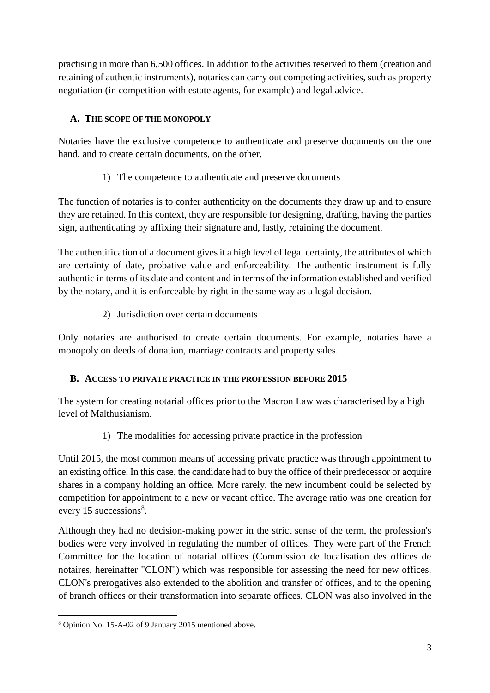practising in more than 6,500 offices. In addition to the activities reserved to them (creation and retaining of authentic instruments), notaries can carry out competing activities, such as property negotiation (in competition with estate agents, for example) and legal advice.

# **A. THE SCOPE OF THE MONOPOLY**

Notaries have the exclusive competence to authenticate and preserve documents on the one hand, and to create certain documents, on the other.

# 1) The competence to authenticate and preserve documents

The function of notaries is to confer authenticity on the documents they draw up and to ensure they are retained. In this context, they are responsible for designing, drafting, having the parties sign, authenticating by affixing their signature and, lastly, retaining the document.

The authentification of a document gives it a high level of legal certainty, the attributes of which are certainty of date, probative value and enforceability. The authentic instrument is fully authentic in terms of its date and content and in terms of the information established and verified by the notary, and it is enforceable by right in the same way as a legal decision.

# 2) Jurisdiction over certain documents

Only notaries are authorised to create certain documents. For example, notaries have a monopoly on deeds of donation, marriage contracts and property sales.

# **B. ACCESS TO PRIVATE PRACTICE IN THE PROFESSION BEFORE 2015**

The system for creating notarial offices prior to the Macron Law was characterised by a high level of Malthusianism.

# 1) The modalities for accessing private practice in the profession

Until 2015, the most common means of accessing private practice was through appointment to an existing office. In this case, the candidate had to buy the office of their predecessor or acquire shares in a company holding an office. More rarely, the new incumbent could be selected by competition for appointment to a new or vacant office. The average ratio was one creation for every 15 successions<sup>8</sup>.

Although they had no decision-making power in the strict sense of the term, the profession's bodies were very involved in regulating the number of offices. They were part of the French Committee for the location of notarial offices (Commission de localisation des offices de notaires, hereinafter "CLON") which was responsible for assessing the need for new offices. CLON's prerogatives also extended to the abolition and transfer of offices, and to the opening of branch offices or their transformation into separate offices. CLON was also involved in the

l <sup>8</sup> Opinion No. 15-A-02 of 9 January 2015 mentioned above.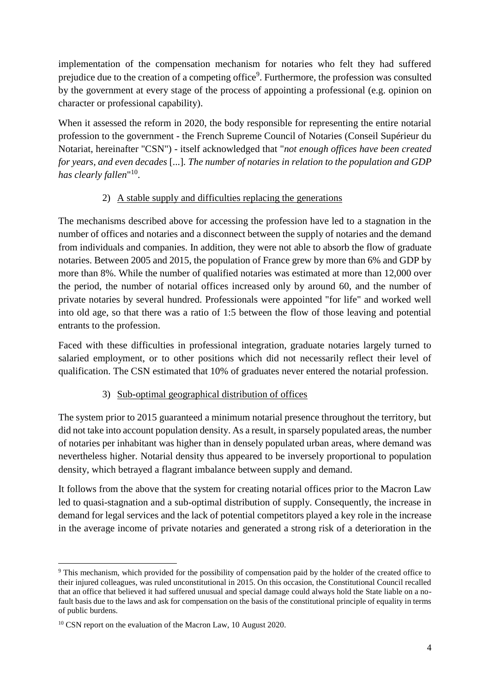implementation of the compensation mechanism for notaries who felt they had suffered prejudice due to the creation of a competing office<sup>9</sup>. Furthermore, the profession was consulted by the government at every stage of the process of appointing a professional (e.g. opinion on character or professional capability).

When it assessed the reform in 2020, the body responsible for representing the entire notarial profession to the government - the French Supreme Council of Notaries (Conseil Supérieur du Notariat, hereinafter "CSN") - itself acknowledged that "*not enough offices have been created for years, and even decades* [...]*. The number of notaries in relation to the population and GDP has clearly fallen*" 10 .

# 2) A stable supply and difficulties replacing the generations

The mechanisms described above for accessing the profession have led to a stagnation in the number of offices and notaries and a disconnect between the supply of notaries and the demand from individuals and companies. In addition, they were not able to absorb the flow of graduate notaries. Between 2005 and 2015, the population of France grew by more than 6% and GDP by more than 8%. While the number of qualified notaries was estimated at more than 12,000 over the period, the number of notarial offices increased only by around 60, and the number of private notaries by several hundred. Professionals were appointed "for life" and worked well into old age, so that there was a ratio of 1:5 between the flow of those leaving and potential entrants to the profession.

Faced with these difficulties in professional integration, graduate notaries largely turned to salaried employment, or to other positions which did not necessarily reflect their level of qualification. The CSN estimated that 10% of graduates never entered the notarial profession.

# 3) Sub-optimal geographical distribution of offices

The system prior to 2015 guaranteed a minimum notarial presence throughout the territory, but did not take into account population density. As a result, in sparsely populated areas, the number of notaries per inhabitant was higher than in densely populated urban areas, where demand was nevertheless higher. Notarial density thus appeared to be inversely proportional to population density, which betrayed a flagrant imbalance between supply and demand.

It follows from the above that the system for creating notarial offices prior to the Macron Law led to quasi-stagnation and a sub-optimal distribution of supply. Consequently, the increase in demand for legal services and the lack of potential competitors played a key role in the increase in the average income of private notaries and generated a strong risk of a deterioration in the

 $\overline{a}$ <sup>9</sup> This mechanism, which provided for the possibility of compensation paid by the holder of the created office to their injured colleagues, was ruled unconstitutional in 2015. On this occasion, the Constitutional Council recalled that an office that believed it had suffered unusual and special damage could always hold the State liable on a nofault basis due to the laws and ask for compensation on the basis of the constitutional principle of equality in terms of public burdens.

<sup>&</sup>lt;sup>10</sup> CSN report on the evaluation of the Macron Law, 10 August 2020.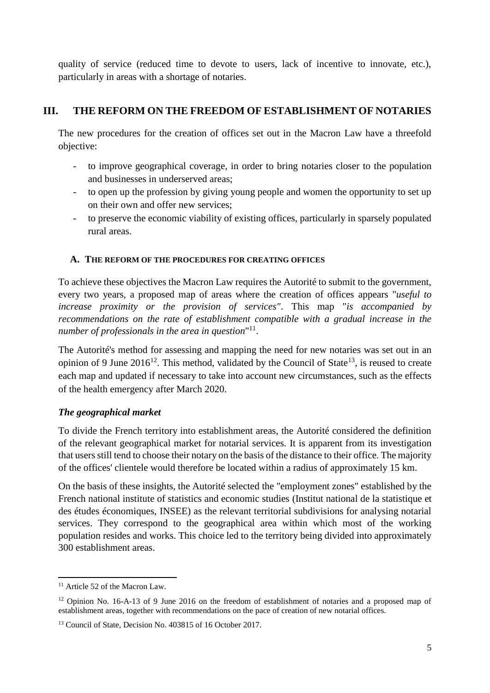quality of service (reduced time to devote to users, lack of incentive to innovate, etc.), particularly in areas with a shortage of notaries.

# **III. THE REFORM ON THE FREEDOM OF ESTABLISHMENT OF NOTARIES**

The new procedures for the creation of offices set out in the Macron Law have a threefold objective:

- to improve geographical coverage, in order to bring notaries closer to the population and businesses in underserved areas;
- to open up the profession by giving young people and women the opportunity to set up on their own and offer new services;
- to preserve the economic viability of existing offices, particularly in sparsely populated rural areas.

### **A. THE REFORM OF THE PROCEDURES FOR CREATING OFFICES**

To achieve these objectives the Macron Law requires the Autorité to submit to the government, every two years, a proposed map of areas where the creation of offices appears "*useful to increase proximity or the provision of services"*. This map "*is accompanied by recommendations on the rate of establishment compatible with a gradual increase in the number of professionals in the area in question*" 11 .

The Autorité's method for assessing and mapping the need for new notaries was set out in an opinion of 9 June 2016<sup>12</sup>. This method, validated by the Council of State<sup>13</sup>, is reused to create each map and updated if necessary to take into account new circumstances, such as the effects of the health emergency after March 2020.

# *The geographical market*

To divide the French territory into establishment areas, the Autorité considered the definition of the relevant geographical market for notarial services. It is apparent from its investigation that users still tend to choose their notary on the basis of the distance to their office. The majority of the offices' clientele would therefore be located within a radius of approximately 15 km.

On the basis of these insights, the Autorité selected the "employment zones" established by the French national institute of statistics and economic studies (Institut national de la statistique et des études économiques, INSEE) as the relevant territorial subdivisions for analysing notarial services. They correspond to the geographical area within which most of the working population resides and works. This choice led to the territory being divided into approximately 300 establishment areas.

 $\overline{\phantom{a}}$ <sup>11</sup> Article 52 of the Macron Law.

<sup>&</sup>lt;sup>12</sup> Opinion No. 16-A-13 of 9 June 2016 on the freedom of establishment of notaries and a proposed map of establishment areas, together with recommendations on the pace of creation of new notarial offices.

<sup>&</sup>lt;sup>13</sup> Council of State, Decision No. 403815 of 16 October 2017.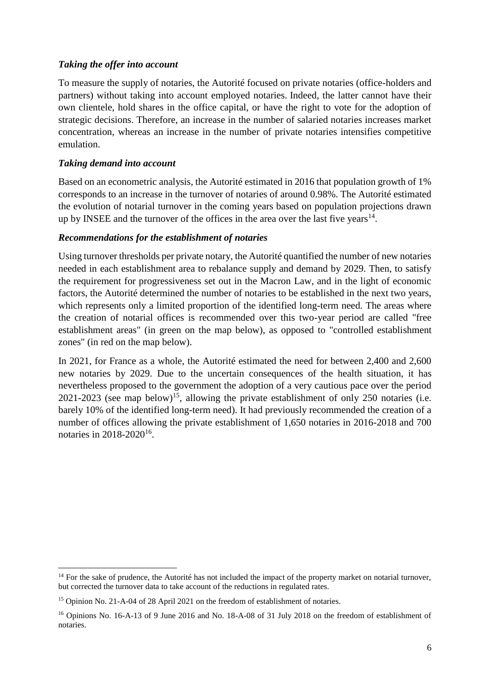### *Taking the offer into account*

To measure the supply of notaries, the Autorité focused on private notaries (office-holders and partners) without taking into account employed notaries. Indeed, the latter cannot have their own clientele, hold shares in the office capital, or have the right to vote for the adoption of strategic decisions. Therefore, an increase in the number of salaried notaries increases market concentration, whereas an increase in the number of private notaries intensifies competitive emulation.

#### *Taking demand into account*

 $\overline{\phantom{a}}$ 

Based on an econometric analysis, the Autorité estimated in 2016 that population growth of 1% corresponds to an increase in the turnover of notaries of around 0.98%. The Autorité estimated the evolution of notarial turnover in the coming years based on population projections drawn up by INSEE and the turnover of the offices in the area over the last five years $^{14}$ .

#### *Recommendations for the establishment of notaries*

Using turnover thresholds per private notary, the Autorité quantified the number of new notaries needed in each establishment area to rebalance supply and demand by 2029. Then, to satisfy the requirement for progressiveness set out in the Macron Law, and in the light of economic factors, the Autorité determined the number of notaries to be established in the next two years, which represents only a limited proportion of the identified long-term need. The areas where the creation of notarial offices is recommended over this two-year period are called "free establishment areas" (in green on the map below), as opposed to "controlled establishment zones" (in red on the map below).

In 2021, for France as a whole, the Autorité estimated the need for between 2,400 and 2,600 new notaries by 2029. Due to the uncertain consequences of the health situation, it has nevertheless proposed to the government the adoption of a very cautious pace over the period  $2021-2023$  (see map below)<sup>15</sup>, allowing the private establishment of only 250 notaries (i.e. barely 10% of the identified long-term need). It had previously recommended the creation of a number of offices allowing the private establishment of 1,650 notaries in 2016-2018 and 700 notaries in 2018-2020<sup>16</sup>.

 $14$  For the sake of prudence, the Autorité has not included the impact of the property market on notarial turnover, but corrected the turnover data to take account of the reductions in regulated rates.

<sup>&</sup>lt;sup>15</sup> Opinion No. 21-A-04 of 28 April 2021 on the freedom of establishment of notaries.

<sup>&</sup>lt;sup>16</sup> Opinions No. 16-A-13 of 9 June 2016 and No. 18-A-08 of 31 July 2018 on the freedom of establishment of notaries.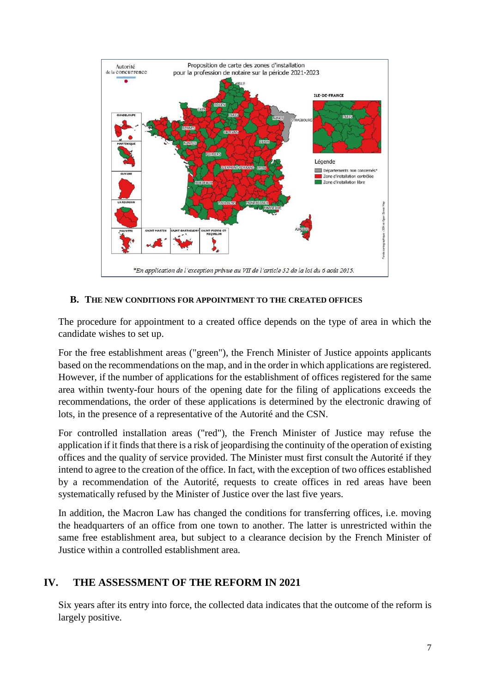

### **B. THE NEW CONDITIONS FOR APPOINTMENT TO THE CREATED OFFICES**

The procedure for appointment to a created office depends on the type of area in which the candidate wishes to set up.

For the free establishment areas ("green"), the French Minister of Justice appoints applicants based on the recommendations on the map, and in the order in which applications are registered. However, if the number of applications for the establishment of offices registered for the same area within twenty-four hours of the opening date for the filing of applications exceeds the recommendations, the order of these applications is determined by the electronic drawing of lots, in the presence of a representative of the Autorité and the CSN.

For controlled installation areas ("red"), the French Minister of Justice may refuse the application if it finds that there is a risk of jeopardising the continuity of the operation of existing offices and the quality of service provided. The Minister must first consult the Autorité if they intend to agree to the creation of the office. In fact, with the exception of two offices established by a recommendation of the Autorité, requests to create offices in red areas have been systematically refused by the Minister of Justice over the last five years.

In addition, the Macron Law has changed the conditions for transferring offices, i.e. moving the headquarters of an office from one town to another. The latter is unrestricted within the same free establishment area, but subject to a clearance decision by the French Minister of Justice within a controlled establishment area.

# **IV. THE ASSESSMENT OF THE REFORM IN 2021**

Six years after its entry into force, the collected data indicates that the outcome of the reform is largely positive.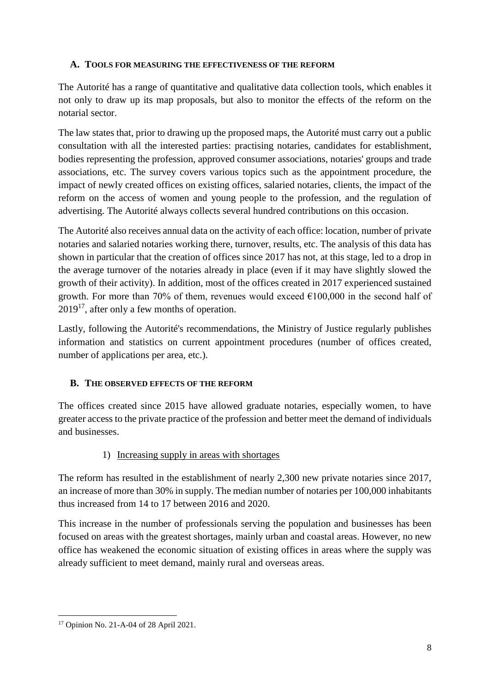### **A. TOOLS FOR MEASURING THE EFFECTIVENESS OF THE REFORM**

The Autorité has a range of quantitative and qualitative data collection tools, which enables it not only to draw up its map proposals, but also to monitor the effects of the reform on the notarial sector.

The law states that, prior to drawing up the proposed maps, the Autorité must carry out a public consultation with all the interested parties: practising notaries, candidates for establishment, bodies representing the profession, approved consumer associations, notaries' groups and trade associations, etc. The survey covers various topics such as the appointment procedure, the impact of newly created offices on existing offices, salaried notaries, clients, the impact of the reform on the access of women and young people to the profession, and the regulation of advertising. The Autorité always collects several hundred contributions on this occasion.

The Autorité also receives annual data on the activity of each office: location, number of private notaries and salaried notaries working there, turnover, results, etc. The analysis of this data has shown in particular that the creation of offices since 2017 has not, at this stage, led to a drop in the average turnover of the notaries already in place (even if it may have slightly slowed the growth of their activity). In addition, most of the offices created in 2017 experienced sustained growth. For more than 70% of them, revenues would exceed  $€100,000$  in the second half of  $2019<sup>17</sup>$ , after only a few months of operation.

Lastly, following the Autorité's recommendations, the Ministry of Justice regularly publishes information and statistics on current appointment procedures (number of offices created, number of applications per area, etc.).

# **B. THE OBSERVED EFFECTS OF THE REFORM**

The offices created since 2015 have allowed graduate notaries, especially women, to have greater access to the private practice of the profession and better meet the demand of individuals and businesses.

# 1) Increasing supply in areas with shortages

The reform has resulted in the establishment of nearly 2,300 new private notaries since 2017, an increase of more than 30% in supply. The median number of notaries per 100,000 inhabitants thus increased from 14 to 17 between 2016 and 2020.

This increase in the number of professionals serving the population and businesses has been focused on areas with the greatest shortages, mainly urban and coastal areas. However, no new office has weakened the economic situation of existing offices in areas where the supply was already sufficient to meet demand, mainly rural and overseas areas.

l <sup>17</sup> Opinion No. 21-A-04 of 28 April 2021.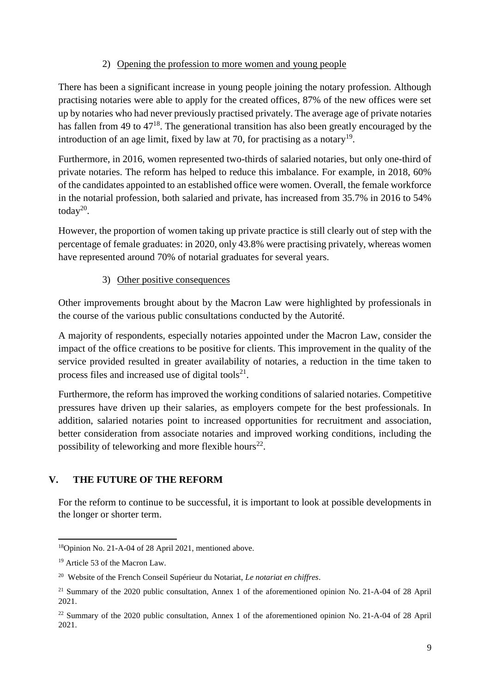### 2) Opening the profession to more women and young people

There has been a significant increase in young people joining the notary profession. Although practising notaries were able to apply for the created offices, 87% of the new offices were set up by notaries who had never previously practised privately. The average age of private notaries has fallen from 49 to  $47^{18}$ . The generational transition has also been greatly encouraged by the introduction of an age limit, fixed by law at 70, for practising as a notary<sup>19</sup>.

Furthermore, in 2016, women represented two-thirds of salaried notaries, but only one-third of private notaries. The reform has helped to reduce this imbalance. For example, in 2018, 60% of the candidates appointed to an established office were women. Overall, the female workforce in the notarial profession, both salaried and private, has increased from 35.7% in 2016 to 54% today $20$ .

However, the proportion of women taking up private practice is still clearly out of step with the percentage of female graduates: in 2020, only 43.8% were practising privately, whereas women have represented around 70% of notarial graduates for several years.

3) Other positive consequences

Other improvements brought about by the Macron Law were highlighted by professionals in the course of the various public consultations conducted by the Autorité.

A majority of respondents, especially notaries appointed under the Macron Law, consider the impact of the office creations to be positive for clients. This improvement in the quality of the service provided resulted in greater availability of notaries, a reduction in the time taken to process files and increased use of digital tools $2^1$ .

Furthermore, the reform has improved the working conditions of salaried notaries. Competitive pressures have driven up their salaries, as employers compete for the best professionals. In addition, salaried notaries point to increased opportunities for recruitment and association, better consideration from associate notaries and improved working conditions, including the possibility of teleworking and more flexible hours<sup>22</sup>.

# **V. THE FUTURE OF THE REFORM**

For the reform to continue to be successful, it is important to look at possible developments in the longer or shorter term.

l <sup>18</sup>Opinion No. 21-A-04 of 28 April 2021, mentioned above.

<sup>19</sup> Article 53 of the Macron Law.

<sup>20</sup> Website of the French Conseil Supérieur du Notariat, *Le notariat en chiffres*.

<sup>&</sup>lt;sup>21</sup> Summary of the 2020 public consultation, Annex 1 of the aforementioned opinion No. 21-A-04 of 28 April 2021.

<sup>&</sup>lt;sup>22</sup> Summary of the 2020 public consultation, Annex 1 of the aforementioned opinion No. 21-A-04 of 28 April 2021.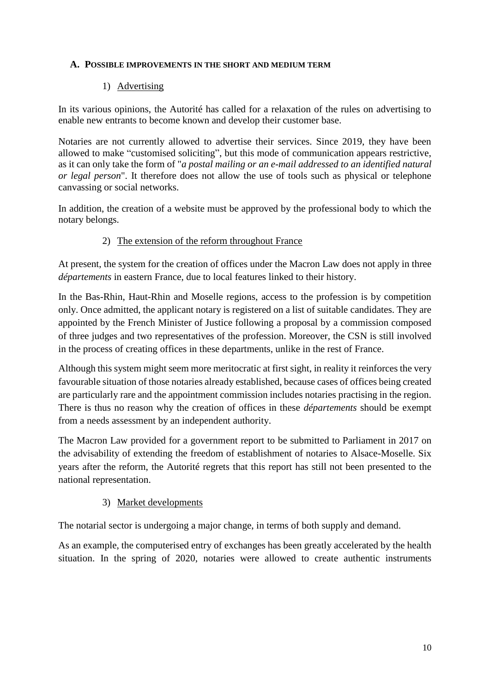### **A. POSSIBLE IMPROVEMENTS IN THE SHORT AND MEDIUM TERM**

### 1) Advertising

In its various opinions, the Autorité has called for a relaxation of the rules on advertising to enable new entrants to become known and develop their customer base.

Notaries are not currently allowed to advertise their services. Since 2019, they have been allowed to make "customised soliciting", but this mode of communication appears restrictive, as it can only take the form of "*a postal mailing or an e-mail addressed to an identified natural or legal person*". It therefore does not allow the use of tools such as physical or telephone canvassing or social networks.

In addition, the creation of a website must be approved by the professional body to which the notary belongs.

### 2) The extension of the reform throughout France

At present, the system for the creation of offices under the Macron Law does not apply in three *départements* in eastern France, due to local features linked to their history.

In the Bas-Rhin, Haut-Rhin and Moselle regions, access to the profession is by competition only. Once admitted, the applicant notary is registered on a list of suitable candidates. They are appointed by the French Minister of Justice following a proposal by a commission composed of three judges and two representatives of the profession. Moreover, the CSN is still involved in the process of creating offices in these departments, unlike in the rest of France.

Although this system might seem more meritocratic at first sight, in reality it reinforces the very favourable situation of those notaries already established, because cases of offices being created are particularly rare and the appointment commission includes notaries practising in the region. There is thus no reason why the creation of offices in these *départements* should be exempt from a needs assessment by an independent authority.

The Macron Law provided for a government report to be submitted to Parliament in 2017 on the advisability of extending the freedom of establishment of notaries to Alsace-Moselle. Six years after the reform, the Autorité regrets that this report has still not been presented to the national representation.

# 3) Market developments

The notarial sector is undergoing a major change, in terms of both supply and demand.

As an example, the computerised entry of exchanges has been greatly accelerated by the health situation. In the spring of 2020, notaries were allowed to create authentic instruments